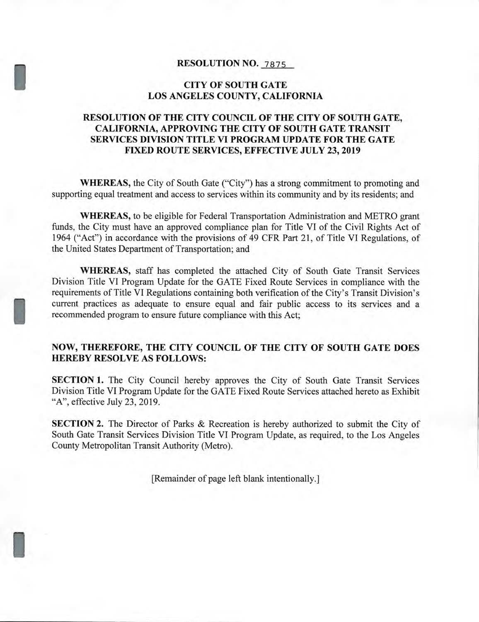### **RESOLUTION NO. 7875**

#### **CITY OF SOUTH GATE LOS ANGELES COUNTY, CALIFORNIA**

## **RESOLUTION OF THE CITY COUNCIL OF THE CITY OF SOUTH GATE, CALIFORNIA, APPROVING THE CITY OF SOUTH GATE TRANSIT SERVICES DIVISION TITLE VI PROGRAM UPDATE FOR THE GATE FIXED ROUTE SERVICES, EFFECTIVE JULY 23, 2019**

**WHEREAS,** the City of South Gate ("City") has a strong commitment to promoting and supporting equal treatment and access to services within its community and by its residents; and

**WHEREAS,** to be eligible for Federal Transportation Administration and METRO grant funds, the City must have an approved compliance plan for Title VI of the Civil Rights Act of 1964 ("Act") in accordance with the provisions of 49 CFR Part 21, of Title VI Regulations, of the United States Department of Transportation; and

**WHEREAS,** staff has completed the attached City of South Gate Transit Services Division Title VI Program Update for the GATE Fixed Route Services in compliance with the requirements of Title VI Regulations containing both verification of the City's Transit Division's current practices as adequate to ensure equal and fair public access to its services and a recommended program to ensure future compliance with this Act;

#### **NOW, THEREFORE, THE CITY COUNCIL OF THE CITY OF SOUTH GATE DOES HEREBY RESOLVE AS FOLLOWS:**

**SECTION 1.** The City Council hereby approves the City of South Gate Transit Services Division Title VI Program Update for the GATE Fixed Route Services attached hereto as Exhibit "A", effective July 23, 2019.

**SECTION 2.** The Director of Parks & Recreation is hereby authorized to submit the City of South Gate Transit Services Division Title VI Program Update, as required, to the Los Angeles County Metropolitan Transit Authority (Metro).

[Remainder of page left blank intentionally.]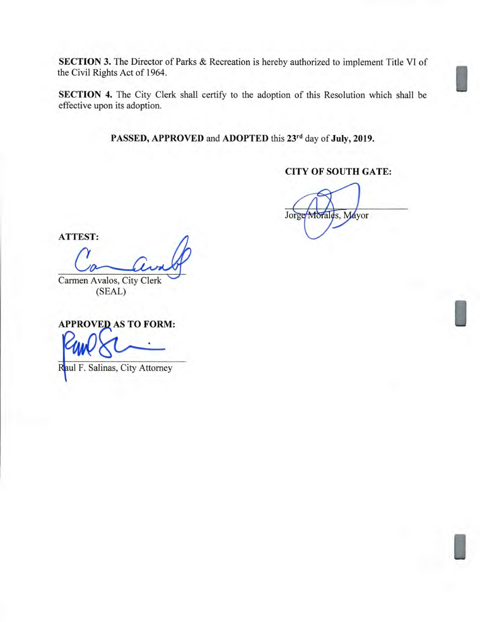**SECTION 3.** The Director of Parks & Recreation is hereby authorized to implement Title VI of the Civil Rights Act of 1964.

**SECTION 4.** The City Clerk shall certify to the adoption of this Resolution which shall be effective upon its adoption.

**PASSED, APPROVED** and **ADOPTED** this **23rd** day of **July, 2019.** 

# **CITY OF SOUTH GATE:**

I

I

I

Jorge Morales, Mayor

**ATTEST:** 

Carmen Avalos, City Clerk (SEAL)

**APPROVED AS TO FORM:** 

Raul F. Salinas, City Attorney